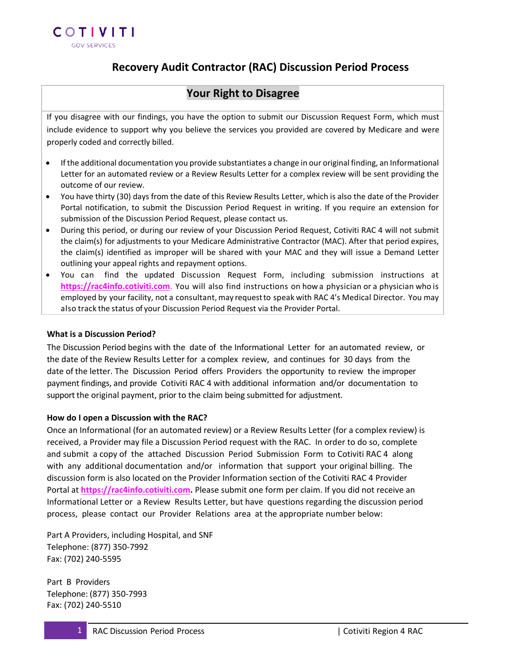

# **Recovery Audit Contractor (RAC) Discussion Period Process**

# **Your Right to Disagree**

If you disagree with our findings, you have the option to submit our Discussion Request Form, which must include evidence to support why you believe the services you provided are covered by Medicare and were properly coded and correctly billed.

- If the additional documentation you provide substantiates a change in our original finding, an Informational Letter for an automated review or a Review Results Letter for a complex review will be sent providing the outcome of our review.
- You have thirty (30) days from the date of this Review Results Letter, which is also the date of the Provider Portal notification, to submit the Discussion Period Request in writing. If you require an extension for submission of the Discussion Period Request, please contact us.
- During this period, or during our review of your Discussion Period Request, Cotiviti RAC 4 will not submit the claim(s) for adjustments to your Medicare Administrative Contractor (MAC). After that period expires, the claim(s) identified as improper will be shared with your MAC and they will issue a Demand Letter outlining your appeal rights and repayment options.
- You can find the updated Discussion Request Form, including submission instructions a[t](https://rac4info.cotiviti.com/) **[https://rac4info.cotiviti.com](https://rac4info.cotiviti.com/)**. You will also find instructions on howa physician or a physician who is employed by your facility, not a consultant, may request to speak with RAC 4's Medical Director. You may also track the status of your Discussion Period Request via the Provider Portal.

### **What is a Discussion Period?**

The Discussion Period begins with the date of the Informational Letter for an automated review, or the date of the Review Results Letter for a complex review, and continues for 30 days from the date of the letter. The Discussion Period offers Providers the opportunity to review the improper payment findings, and provide Cotiviti RAC 4 with additional information and/or documentation to support the original payment, prior to the claim being submitted for adjustment.

### **How do I open a Discussion with the RAC?**

Once an Informational (for an automated review) or a Review Results Letter (for a complex review) is received, a Provider may file a Discussion Period request with the RAC. In order to do so, complete and submit a copy of the attached Discussion Period Submission Form to Cotiviti RAC 4 along with any additional documentation and/or information that support your original billing. The discussion form is also located on the Provider Information section of the Cotiviti RAC 4 Provider Portal at **[https://rac4info.cotiviti.com.](https://rac4info.cotiviti.com./)** Please submit one form per claim. If you did not receive an Informational Letter or a Review Results Letter, but have questions regarding the discussion period process, please contact our Provider Relations area at the appropriate number below:

Part A Providers, including Hospital, and SNF Telephone: (877) 350-7992 Fax: (702) 240-5595

Part B Providers Telephone: (877) 350-7993 Fax: (702) 240-5510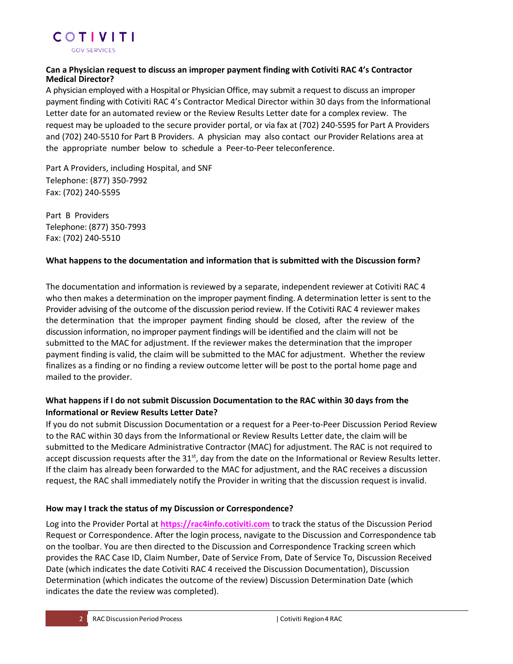

#### **Can a Physician request to discuss an improper payment finding with Cotiviti RAC 4's Contractor Medical Director?**

A physician employed with a Hospital or Physician Office, may submit a request to discuss an improper payment finding with Cotiviti RAC 4's Contractor Medical Director within 30 days from the Informational Letter date for an automated review or the Review Results Letter date for a complex review. The request may be uploaded to the secure provider portal, or via fax at (702) 240-5595 for Part A Providers and (702) 240-5510 for Part B Providers. A physician may also contact our Provider Relations area at the appropriate number below to schedule a Peer-to-Peer teleconference.

Part A Providers, including Hospital, and SNF Telephone: (877) 350-7992 Fax: (702) 240-5595

Part B Providers Telephone: (877) 350-7993 Fax: (702) 240-5510

## **What happens to the documentation and information that is submitted with the Discussion form?**

The documentation and information is reviewed by a separate, independent reviewer at Cotiviti RAC 4 who then makes a determination on the improper payment finding. A determination letter is sent to the Provider advising of the outcome of the discussion period review. If the Cotiviti RAC 4 reviewer makes the determination that the improper payment finding should be closed, after the review of the discussion information, no improper payment findings will be identified and the claim will not be submitted to the MAC for adjustment. If the reviewer makes the determination that the improper payment finding is valid, the claim will be submitted to the MAC for adjustment. Whether the review finalizes as a finding or no finding a review outcome letter will be post to the portal home page and mailed to the provider.

# **What happens if I do not submit Discussion Documentation to the RAC within 30 days from the Informational or Review Results Letter Date?**

If you do not submit Discussion Documentation or a request for a Peer-to-Peer Discussion Period Review to the RAC within 30 days from the Informational or Review Results Letter date, the claim will be submitted to the Medicare Administrative Contractor (MAC) for adjustment. The RAC is not required to accept discussion requests after the  $31<sup>st</sup>$ , day from the date on the Informational or Review Results letter. If the claim has already been forwarded to the MAC for adjustment, and the RAC receives a discussion request, the RAC shall immediately notify the Provider in writing that the discussion request is invalid.

## **How may I track the status of my Discussion or Correspondence?**

Log into the Provider Portal at **[https://rac4info.cotiviti.com](https://rac4info.cotiviti.com/)** to track the status of the Discussion Period Request or Correspondence. After the login process, navigate to the Discussion and Correspondence tab on the toolbar. You are then directed to the Discussion and Correspondence Tracking screen which provides the RAC Case ID, Claim Number, Date of Service From, Date of Service To, Discussion Received Date (which indicates the date Cotiviti RAC 4 received the Discussion Documentation), Discussion Determination (which indicates the outcome of the review) Discussion Determination Date (which indicates the date the review was completed).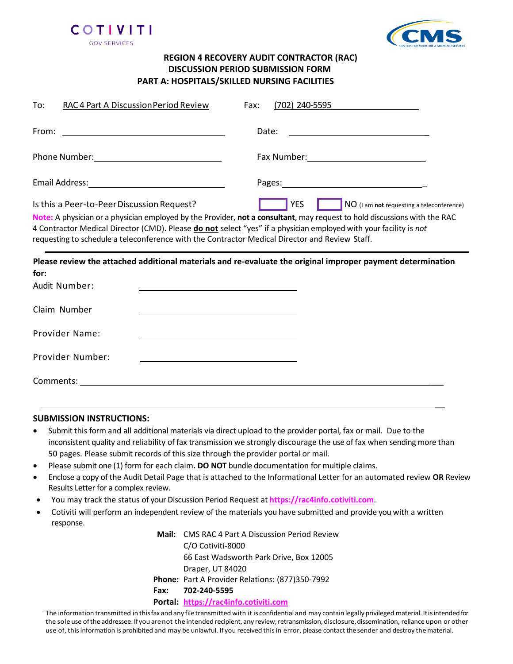



 $\overline{\phantom{a}}$ 

# **REGION 4 RECOVERY AUDIT CONTRACTOR (RAC) DISCUSSION PERIOD SUBMISSION FORM PART A: HOSPITALS/SKILLED NURSING FACILITIES**

| RAC 4 Part A Discussion Period Review<br>To: | Fax:<br>(702) 240-5595                                                                                                                                                                                                                                                                                                                          |
|----------------------------------------------|-------------------------------------------------------------------------------------------------------------------------------------------------------------------------------------------------------------------------------------------------------------------------------------------------------------------------------------------------|
| From:                                        | Date:<br><u> 1989 - Johann Barn, mars et al. (b. 1989)</u>                                                                                                                                                                                                                                                                                      |
|                                              |                                                                                                                                                                                                                                                                                                                                                 |
|                                              | Pages: 2008 2010 2021 2022 2023 2024 2022 2022 2023 2024 2022 2023 2024 2022 2023 2024 2022 2023 2024 2025 202                                                                                                                                                                                                                                  |
| Is this a Peer-to-Peer Discussion Request?   | NO (I am not requesting a teleconference)<br><b>YES</b>                                                                                                                                                                                                                                                                                         |
|                                              | Note: A physician or a physician employed by the Provider, not a consultant, may request to hold discussions with the RAC<br>4 Contractor Medical Director (CMD). Please donot select "yes" if a physician employed with your facility is not<br>requesting to schedule a teleconference with the Contractor Medical Director and Review Staff. |
|                                              | Please review the attached additional materials and re-evaluate the original improper payment determination                                                                                                                                                                                                                                     |
| for:<br>Audit Number:                        |                                                                                                                                                                                                                                                                                                                                                 |
| Claim Number                                 |                                                                                                                                                                                                                                                                                                                                                 |
| Provider Name:                               |                                                                                                                                                                                                                                                                                                                                                 |
| Provider Number:                             |                                                                                                                                                                                                                                                                                                                                                 |
| Comments:                                    |                                                                                                                                                                                                                                                                                                                                                 |

#### **SUBMISSION INSTRUCTIONS:**

- Submit this form and all additional materials via direct upload to the provider portal, fax or mail. Due to the inconsistent quality and reliability of fax transmission we strongly discourage the use of fax when sending more than 50 pages. Please submit records of this size through the provider portal or mail.
- Please submit one (1) form for each claim**. DO NOT** bundle documentation for multiple claims.
- Enclose a copy of the Audit Detail Page that is attached to the Informational Letter for an automated review **OR** Review Results Letter for a complex review.
- You may track the status of your Discussion Period Request at **[https://rac4info.cotiviti.com](https://rac4info.cotiviti.com/)**.
- Cotiviti will perform an independent review of the materials you have submitted and provide you with a written response.

| Mail: CMS RAC 4 Part A Discussion Period Review |
|-------------------------------------------------|
| C/O Cotiviti-8000                               |
| 66 East Wadsworth Park Drive, Box 12005         |
| Draper, UT 84020                                |
| Phone: Part A Provider Relations: (877)350-7992 |
| Fax: 702-240-5595                               |
| Portal: https://rac4info.cotiviti.com           |

The information transmitted in thisfax and any file transmitted with it is confidential and may contain legally privileged material. It is intended for the sole use of the addressee. If you are not the intended recipient, any review, retransmission, disclosure, dissemination, reliance upon or other use of, thisinformation is prohibited and may be unlawful. If you received thisin error, please contact thesender and destroy thematerial.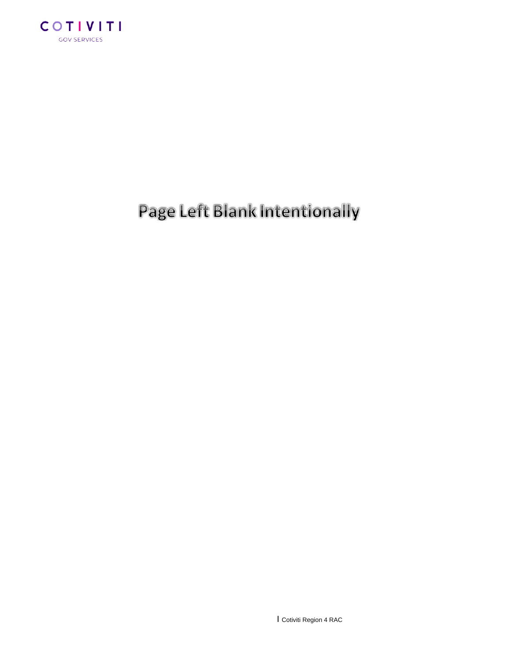

# **Page Left Blank Intentionally**